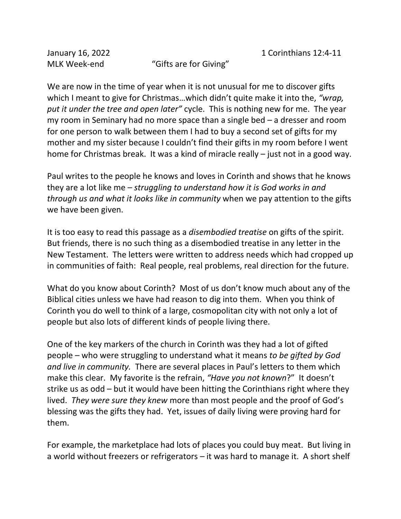MLK Week-end "Gifts are for Giving"

We are now in the time of year when it is not unusual for me to discover gifts which I meant to give for Christmas…which didn't quite make it into the, *"wrap, put it under the tree and open later"* cycle. This is nothing new for me. The year my room in Seminary had no more space than a single bed – a dresser and room for one person to walk between them I had to buy a second set of gifts for my mother and my sister because I couldn't find their gifts in my room before I went home for Christmas break. It was a kind of miracle really – just not in a good way.

Paul writes to the people he knows and loves in Corinth and shows that he knows they are a lot like me *– struggling to understand how it is God works in and through us and what it looks like in community* when we pay attention to the gifts we have been given.

It is too easy to read this passage as a *disembodied treatise* on gifts of the spirit. But friends, there is no such thing as a disembodied treatise in any letter in the New Testament. The letters were written to address needs which had cropped up in communities of faith: Real people, real problems, real direction for the future.

What do you know about Corinth? Most of us don't know much about any of the Biblical cities unless we have had reason to dig into them. When you think of Corinth you do well to think of a large, cosmopolitan city with not only a lot of people but also lots of different kinds of people living there.

One of the key markers of the church in Corinth was they had a lot of gifted people – who were struggling to understand what it means *to be gifted by God and live in community.* There are several places in Paul's letters to them which make this clear. My favorite is the refrain, *"Have you not known*?" It doesn't strike us as odd – but it would have been hitting the Corinthians right where they lived. *They were sure they knew* more than most people and the proof of God's blessing was the gifts they had. Yet, issues of daily living were proving hard for them.

For example, the marketplace had lots of places you could buy meat. But living in a world without freezers or refrigerators – it was hard to manage it. A short shelf